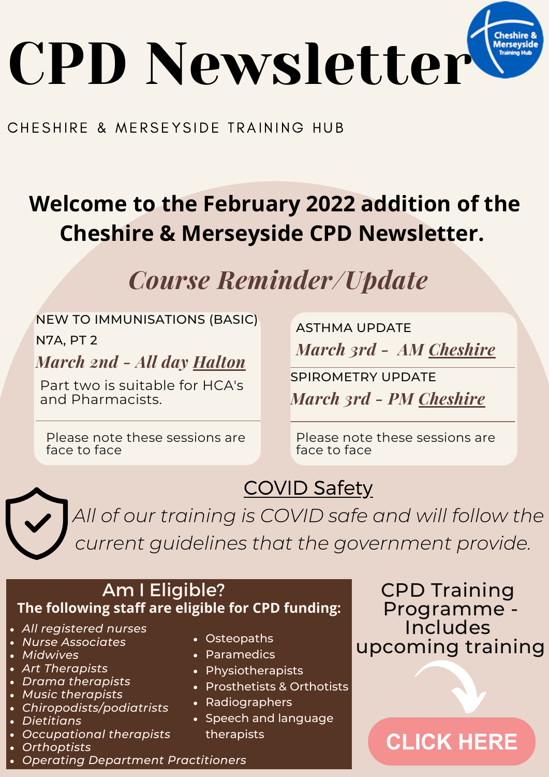

#### CHESHIRE & MERSEYSIDE TRAINING HUB

### **Welcome to the February 2022 addition of the Cheshire & Merseyside CPD Newsletter.**

### *Course Reminder/Update*

#### NEW TO IMMUNISATIONS (BASIC)

N7A, PT 2

#### *March 2nd - All day [Halton](https://www.eventbrite.co.uk/e/new-to-immunisations-basic-n7a-part-2-cheshire-merseyside-cpd-only-tickets-251321428157)*

Part two is suitable for HCA's and Pharmacists.

Please note these sessions are face to face

*March 3rd - AM [Cheshire](https://www.eventbrite.co.uk/e/asthma-update-cheshire-merseyside-cpd-only-tickets-251139504017)* ASTHMA UPDATE

*March 3rd - PM [Cheshire](https://www.eventbrite.co.uk/e/spirometry-update-cheshire-merseyside-cpd-only-tickets-251281779567)* SPIROMETRY UPDATE

Please note these sessions are face to face

COVID Safety

*All of our training is COVID safe and will follow the current guidelines that the government provide.*

#### Am I Eligible? **The following staff are eligible for CPD funding:**

- *All registered nurses*
- *Nurse Associates*
- *Midwives*
- *Art Therapists*
- *Drama therapists*
- *Music therapists*
- *Chiropodists/podiatrists*
- *Dietitians*
- *Occupational therapists*
- *Orthoptists*
- *Operating Department Practitioners*
- Osteopaths
- Paramedics
- Physiotherapists
- Prosthetists & Orthotists
- Radiographers
- Speech and language therapists

### CPD Training Programme - **Includes** upcoming training

### **CLICK HERE**